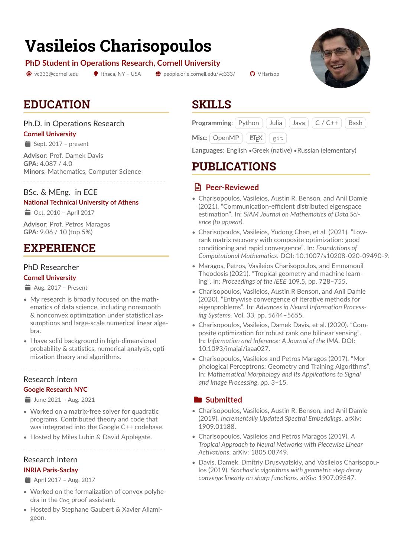# **Vasileios Charisopoulos**

#### **PhD Student in Operations Research, Cornell University**

 $\circledcirc$  [vc333@cornell.edu](mailto:vc333@cornell.edu)  $\bullet$  Ithaca, NY – USA  $\bullet$  [people.orie.cornell.edu/vc333/](https://people.orie.cornell.edu/vc333/)  $\bullet$  [VHarisop](https://github.com/VHarisop)

# **EDUCATION**

### Ph.D. in Operations Research

#### **Cornell University**

 $\equiv$  Sept. 2017 – present

**Advisor**: Prof. Damek Davis **GPA**: 4.087 / 4.0 **Minors**: Mathematics, Computer Science

### BSc. & MEng. in ECE

#### **National Technical University of Athens**

 $\Rightarrow$  Oct. 2010 – April 2017

**Advisor**: Prof. Petros Maragos **GPA**: 9.06 / 10 (top 5%)

# **EXPERIENCE**

### PhD Researcher

#### **Cornell University**

- $\triangleq$  Aug. 2017 Present
- My research is broadly focused on the mathematics of data science, including nonsmooth & nonconvex optimization under statistical assumptions and large-scale numerical linear algebra.
- I have solid background in high-dimensional probability & statistics, numerical analysis, optimization theory and algorithms.

### Research Intern

#### **Google Research NYC**

 $\frac{1}{2}$  June 2021 – Aug. 2021

- Worked on a matrix-free solver for quadratic programs. Contributed theory and code that was integrated into the Google C++ codebase.
- Hosted by Miles Lubin & David Applegate.

#### Research Intern

#### **INRIA Paris-Saclay**

April 2017 – Aug. 2017

- Worked on the formalization of convex polyhedra in the Coq proof assistant.
- Hosted by Stephane Gaubert & Xavier Allamigeon.

### **SKILLS**

| <b>Programming:</b> Python   Julia   Java   C / C++   Bash |  |  |  |  |  |
|------------------------------------------------------------|--|--|--|--|--|
|------------------------------------------------------------|--|--|--|--|--|

|  | Misc: OpenMP | <b>AT<sub>F</sub>X</b> | git |
|--|--------------|------------------------|-----|
|--|--------------|------------------------|-----|

**Languages**: English •Greek (native) •Russian (elementary)

### **PUBLICATIONS**

### ? **Peer-Reviewed**

- Charisopoulos, Vasileios, Austin R. Benson, and Anil Damle (2021). "Communication-efficient distributed eigenspace estimation". In: *SIAM Journal on Mathematics of Data Science (to appear)*.
- Charisopoulos, Vasileios, Yudong Chen, et al. (2021). "Lowrank matrix recovery with composite optimization: good conditioning and rapid convergence". In: *Foundations of Computational Mathematics*. DOI: [10.1007/s10208-020-09490-9.](https://doi.org/10.1007/s10208-020-09490-9)
- Maragos, Petros, Vasileios Charisopoulos, and Emmanouil Theodosis (2021). "Tropical geometry and machine learning". In: *Proceedings of the IEEE* 109.5, pp. 728–755.
- Charisopoulos, Vasileios, Austin R Benson, and Anil Damle (2020). "Entrywise convergence of iterative methods for eigenproblems". In: *Advances in Neural Information Processing Systems*. Vol. 33, pp. 5644–5655.
- Charisopoulos, Vasileios, Damek Davis, et al. (2020). "Composite optimization for robust rank one bilinear sensing". In: *Information and Inference: A Journal of the IMA*. DOI: [10.1093/imaiai/iaaa027.](https://doi.org/10.1093/imaiai/iaaa027)
- Charisopoulos, Vasileios and Petros Maragos (2017). "Morphological Perceptrons: Geometry and Training Algorithms". In: *Mathematical Morphology and Its Applications to Signal and Image Processing*, pp. 3–15.

### **Expanding Submitted**

- Charisopoulos, Vasileios, Austin R. Benson, and Anil Damle (2019). *Incrementally Updated Spectral Embeddings*. arXiv: [1909.01188.](https://arxiv.org/abs/1909.01188)
- Charisopoulos, Vasileios and Petros Maragos (2019). *A Tropical Approach to Neural Networks with Piecewise Linear Activations*. arXiv: [1805.08749.](https://arxiv.org/abs/1805.08749)
- Davis, Damek, Dmitriy Drusvyatskiy, and Vasileios Charisopoulos (2019). *Stochastic algorithms with geometric step decay converge linearly on sharp functions*. arXiv: [1907.09547.](https://arxiv.org/abs/1907.09547)